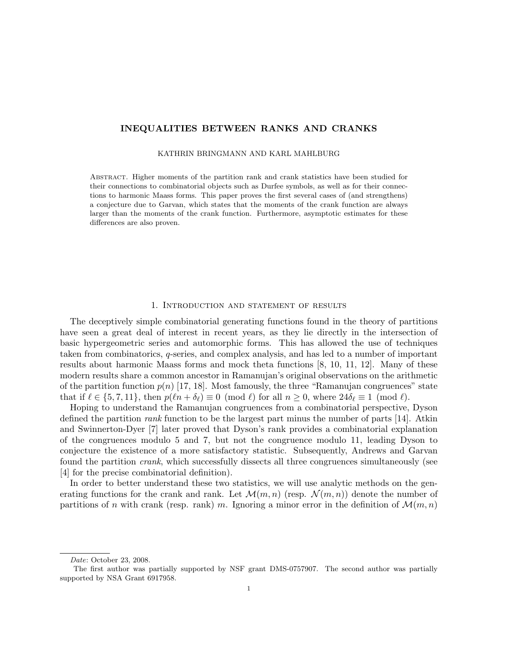# INEQUALITIES BETWEEN RANKS AND CRANKS

#### KATHRIN BRINGMANN AND KARL MAHLBURG

Abstract. Higher moments of the partition rank and crank statistics have been studied for their connections to combinatorial objects such as Durfee symbols, as well as for their connections to harmonic Maass forms. This paper proves the first several cases of (and strengthens) a conjecture due to Garvan, which states that the moments of the crank function are always larger than the moments of the crank function. Furthermore, asymptotic estimates for these differences are also proven.

### 1. Introduction and statement of results

The deceptively simple combinatorial generating functions found in the theory of partitions have seen a great deal of interest in recent years, as they lie directly in the intersection of basic hypergeometric series and automorphic forms. This has allowed the use of techniques taken from combinatorics, q-series, and complex analysis, and has led to a number of important results about harmonic Maass forms and mock theta functions [8, 10, 11, 12]. Many of these modern results share a common ancestor in Ramanujan's original observations on the arithmetic of the partition function  $p(n)$  [17, 18]. Most famously, the three "Ramanujan congruences" state that if  $\ell \in \{5, 7, 11\}$ , then  $p(\ell n + \delta_{\ell}) \equiv 0 \pmod{\ell}$  for all  $n \geq 0$ , where  $24\delta_{\ell} \equiv 1 \pmod{\ell}$ .

Hoping to understand the Ramanujan congruences from a combinatorial perspective, Dyson defined the partition rank function to be the largest part minus the number of parts [14]. Atkin and Swinnerton-Dyer [7] later proved that Dyson's rank provides a combinatorial explanation of the congruences modulo 5 and 7, but not the congruence modulo 11, leading Dyson to conjecture the existence of a more satisfactory statistic. Subsequently, Andrews and Garvan found the partition crank, which successfully dissects all three congruences simultaneously (see [4] for the precise combinatorial definition).

In order to better understand these two statistics, we will use analytic methods on the generating functions for the crank and rank. Let  $\mathcal{M}(m, n)$  (resp.  $\mathcal{N}(m, n)$ ) denote the number of partitions of n with crank (resp. rank) m. Ignoring a minor error in the definition of  $\mathcal{M}(m,n)$ 

Date: October 23, 2008.

The first author was partially supported by NSF grant DMS-0757907. The second author was partially supported by NSA Grant 6917958.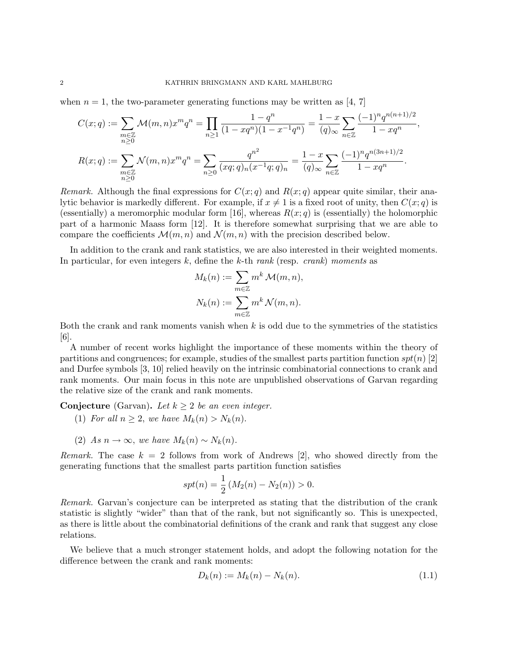when  $n = 1$ , the two-parameter generating functions may be written as [4, 7]

$$
C(x;q) := \sum_{\substack{m \in \mathbb{Z} \\ n \ge 0}} \mathcal{M}(m,n)x^m q^n = \prod_{n \ge 1} \frac{1 - q^n}{(1 - xq^n)(1 - x^{-1}q^n)} = \frac{1 - x}{(q)_{\infty}} \sum_{n \in \mathbb{Z}} \frac{(-1)^n q^{n(n+1)/2}}{1 - xq^n},
$$
  

$$
R(x;q) := \sum_{\substack{m \in \mathbb{Z} \\ n \ge 0}} \mathcal{N}(m,n)x^m q^n = \sum_{n \ge 0} \frac{q^{n^2}}{(xq;q)_n(x^{-1}q;q)_n} = \frac{1 - x}{(q)_{\infty}} \sum_{n \in \mathbb{Z}} \frac{(-1)^n q^{n(3n+1)/2}}{1 - xq^n}.
$$

Remark. Although the final expressions for  $C(x; q)$  and  $R(x; q)$  appear quite similar, their analytic behavior is markedly different. For example, if  $x \neq 1$  is a fixed root of unity, then  $C(x; q)$  is (essentially) a meromorphic modular form [16], whereas  $R(x; q)$  is (essentially) the holomorphic part of a harmonic Maass form [12]. It is therefore somewhat surprising that we are able to compare the coefficients  $\mathcal{M}(m, n)$  and  $\mathcal{N}(m, n)$  with the precision described below.

In addition to the crank and rank statistics, we are also interested in their weighted moments. In particular, for even integers k, define the k-th rank (resp. crank) moments as

$$
M_k(n) := \sum_{m \in \mathbb{Z}} m^k \mathcal{M}(m, n),
$$
  

$$
N_k(n) := \sum_{m \in \mathbb{Z}} m^k \mathcal{N}(m, n).
$$

Both the crank and rank moments vanish when  $k$  is odd due to the symmetries of the statistics [6].

A number of recent works highlight the importance of these moments within the theory of partitions and congruences; for example, studies of the smallest parts partition function  $spt(n)$  [2] and Durfee symbols [3, 10] relied heavily on the intrinsic combinatorial connections to crank and rank moments. Our main focus in this note are unpublished observations of Garvan regarding the relative size of the crank and rank moments.

**Conjecture** (Garvan). Let  $k \geq 2$  be an even integer.

- (1) For all  $n \geq 2$ , we have  $M_k(n) > N_k(n)$ .
- (2) As  $n \to \infty$ , we have  $M_k(n) \sim N_k(n)$ .

Remark. The case  $k = 2$  follows from work of Andrews [2], who showed directly from the generating functions that the smallest parts partition function satisfies

$$
spt(n) = \frac{1}{2} (M_2(n) - N_2(n)) > 0.
$$

Remark. Garvan's conjecture can be interpreted as stating that the distribution of the crank statistic is slightly "wider" than that of the rank, but not significantly so. This is unexpected, as there is little about the combinatorial definitions of the crank and rank that suggest any close relations.

We believe that a much stronger statement holds, and adopt the following notation for the difference between the crank and rank moments:

$$
D_k(n) := M_k(n) - N_k(n). \tag{1.1}
$$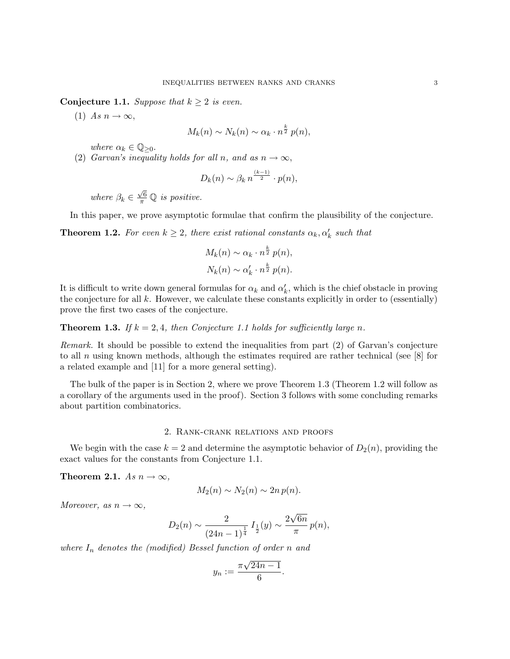**Conjecture 1.1.** Suppose that  $k \geq 2$  is even.

(1) As  $n \to \infty$ ,

$$
M_k(n) \sim N_k(n) \sim \alpha_k \cdot n^{\frac{k}{2}} p(n),
$$

where  $\alpha_k \in \mathbb{Q}_{\geq 0}$ .

(2) Garvan's inequality holds for all n, and as  $n \to \infty$ ,

$$
D_k(n) \sim \beta_k n^{\frac{(k-1)}{2}} \cdot p(n),
$$

where  $\beta_k \in$  $\frac{\sqrt{6}}{\pi}$  Q is positive.

In this paper, we prove asymptotic formulae that confirm the plausibility of the conjecture.

**Theorem 1.2.** For even  $k \geq 2$ , there exist rational constants  $\alpha_k, \alpha'_k$  such that

$$
M_k(n) \sim \alpha_k \cdot n^{\frac{k}{2}} p(n),
$$
  

$$
N_k(n) \sim \alpha'_k \cdot n^{\frac{k}{2}} p(n).
$$

It is difficult to write down general formulas for  $\alpha_k$  and  $\alpha'_k$ , which is the chief obstacle in proving the conjecture for all  $k$ . However, we calculate these constants explicitly in order to (essentially) prove the first two cases of the conjecture.

**Theorem 1.3.** If  $k = 2, 4$ , then Conjecture 1.1 holds for sufficiently large n.

Remark. It should be possible to extend the inequalities from part (2) of Garvan's conjecture to all n using known methods, although the estimates required are rather technical (see  $[8]$  for a related example and [11] for a more general setting).

The bulk of the paper is in Section 2, where we prove Theorem 1.3 (Theorem 1.2 will follow as a corollary of the arguments used in the proof). Section 3 follows with some concluding remarks about partition combinatorics.

# 2. Rank-crank relations and proofs

We begin with the case  $k = 2$  and determine the asymptotic behavior of  $D_2(n)$ , providing the exact values for the constants from Conjecture 1.1.

Theorem 2.1. As  $n \to \infty$ ,

$$
M_2(n) \sim N_2(n) \sim 2n p(n).
$$

Moreover, as  $n \to \infty$ ,

$$
D_2(n) \sim \frac{2}{(24n-1)^{\frac{1}{4}}} I_{\frac{1}{2}}(y) \sim \frac{2\sqrt{6n}}{\pi} p(n),
$$

where  $I_n$  denotes the (modified) Bessel function of order n and

$$
y_n := \frac{\pi\sqrt{24n-1}}{6}.
$$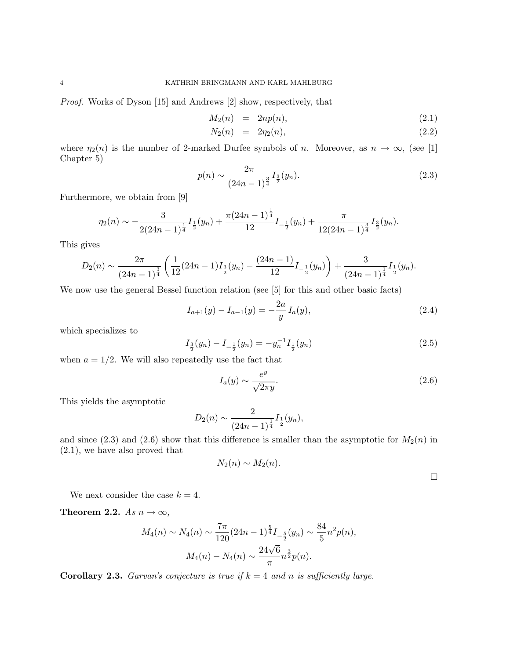Proof. Works of Dyson [15] and Andrews [2] show, respectively, that

$$
M_2(n) = 2np(n), \t\t(2.1)
$$

$$
N_2(n) = 2\eta_2(n), \t\t(2.2)
$$

where  $\eta_2(n)$  is the number of 2-marked Durfee symbols of n. Moreover, as  $n \to \infty$ , (see [1] Chapter 5)

$$
p(n) \sim \frac{2\pi}{(24n-1)^{\frac{3}{4}}} I_{\frac{3}{2}}(y_n). \tag{2.3}
$$

Furthermore, we obtain from [9]

$$
\eta_2(n) \sim -\frac{3}{2(24n-1)^{\frac{1}{4}}} I_{\frac{1}{2}}(y_n) + \frac{\pi (24n-1)^{\frac{1}{4}}}{12} I_{-\frac{1}{2}}(y_n) + \frac{\pi}{12(24n-1)^{\frac{3}{4}}} I_{\frac{3}{2}}(y_n).
$$

This gives

$$
D_2(n) \sim \frac{2\pi}{(24n-1)^{\frac{3}{4}}} \left( \frac{1}{12} (24n-1) I_{\frac{3}{2}}(y_n) - \frac{(24n-1)}{12} I_{-\frac{1}{2}}(y_n) \right) + \frac{3}{(24n-1)^{\frac{1}{4}}} I_{\frac{1}{2}}(y_n).
$$

We now use the general Bessel function relation (see [5] for this and other basic facts)

$$
I_{a+1}(y) - I_{a-1}(y) = -\frac{2a}{y} I_a(y),
$$
\n(2.4)

which specializes to

$$
I_{\frac{3}{2}}(y_n) - I_{-\frac{1}{2}}(y_n) = -y_n^{-1} I_{\frac{1}{2}}(y_n)
$$
\n(2.5)

when  $a = 1/2$ . We will also repeatedly use the fact that

$$
I_a(y) \sim \frac{e^y}{\sqrt{2\pi y}}.\tag{2.6}
$$

This yields the asymptotic

$$
D_2(n) \sim \frac{2}{(24n-1)^{\frac{1}{4}}} I_{\frac{1}{2}}(y_n),
$$

and since  $(2.3)$  and  $(2.6)$  show that this difference is smaller than the asymptotic for  $M_2(n)$  in (2.1), we have also proved that

$$
N_2(n) \sim M_2(n).
$$

 $\Box$ 

We next consider the case  $k = 4$ .

Theorem 2.2. As  $n \to \infty$ ,

$$
M_4(n) \sim N_4(n) \sim \frac{7\pi}{120} (24n - 1)^{\frac{5}{4}} I_{-\frac{5}{2}}(y_n) \sim \frac{84}{5} n^2 p(n),
$$

$$
M_4(n) - N_4(n) \sim \frac{24\sqrt{6}}{\pi} n^{\frac{3}{2}} p(n).
$$

**Corollary 2.3.** Garvan's conjecture is true if  $k = 4$  and n is sufficiently large.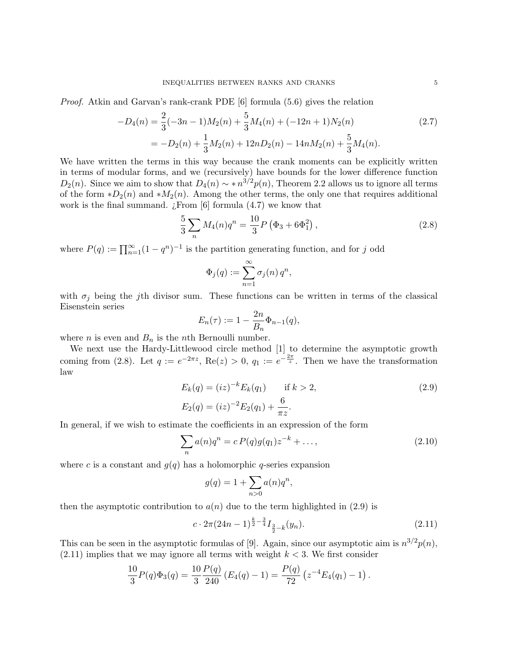Proof. Atkin and Garvan's rank-crank PDE [6] formula (5.6) gives the relation

$$
-D_4(n) = \frac{2}{3}(-3n-1)M_2(n) + \frac{5}{3}M_4(n) + (-12n+1)N_2(n)
$$
  
= 
$$
-D_2(n) + \frac{1}{3}M_2(n) + 12nD_2(n) - 14nM_2(n) + \frac{5}{3}M_4(n).
$$
 (2.7)

We have written the terms in this way because the crank moments can be explicitly written in terms of modular forms, and we (recursively) have bounds for the lower difference function  $D_2(n)$ . Since we aim to show that  $D_4(n) \sim *n^{3/2}p(n)$ , Theorem 2.2 allows us to ignore all terms of the form  $*D_2(n)$  and  $*M_2(n)$ . Among the other terms, the only one that requires additional work is the final summand.  $\chi$ From [6] formula (4.7) we know that

$$
\frac{5}{3} \sum_{n} M_4(n) q^n = \frac{10}{3} P \left( \Phi_3 + 6 \Phi_1^2 \right), \tag{2.8}
$$

where  $P(q) := \prod_{n=1}^{\infty} (1 - q^n)^{-1}$  is the partition generating function, and for j odd

$$
\Phi_j(q):=\sum_{n=1}^\infty \sigma_j(n)\,q^n,
$$

with  $\sigma_j$  being the jth divisor sum. These functions can be written in terms of the classical Eisenstein series

$$
E_n(\tau) := 1 - \frac{2n}{B_n} \Phi_{n-1}(q),
$$

where *n* is even and  $B_n$  is the *n*th Bernoulli number.

We next use the Hardy-Littlewood circle method [1] to determine the asymptotic growth coming from (2.8). Let  $q := e^{-2\pi z}$ , Re $(z) > 0$ ,  $q_1 := e^{-\frac{2\pi}{z}}$ . Then we have the transformation law

$$
E_k(q) = (iz)^{-k} E_k(q_1) \quad \text{if } k > 2,
$$
  
\n
$$
E_2(q) = (iz)^{-2} E_2(q_1) + \frac{6}{\pi z}.
$$
\n(2.9)

In general, if we wish to estimate the coefficients in an expression of the form

$$
\sum_{n} a(n)q^{n} = c P(q)g(q_{1})z^{-k} + \dots,
$$
\n(2.10)

where c is a constant and  $g(q)$  has a holomorphic q-series expansion

$$
g(q) = 1 + \sum_{n>0} a(n)q^n,
$$

then the asymptotic contribution to  $a(n)$  due to the term highlighted in (2.9) is

$$
c \cdot 2\pi (24n - 1)^{\frac{k}{2} - \frac{3}{4}} I_{\frac{3}{2} - k}(y_n). \tag{2.11}
$$

This can be seen in the asymptotic formulas of [9]. Again, since our asymptotic aim is  $n^{3/2}p(n)$ ,  $(2.11)$  implies that we may ignore all terms with weight  $k < 3$ . We first consider

$$
\frac{10}{3}P(q)\Phi_3(q) = \frac{10}{3}\frac{P(q)}{240} (E_4(q) - 1) = \frac{P(q)}{72} (z^{-4}E_4(q_1) - 1).
$$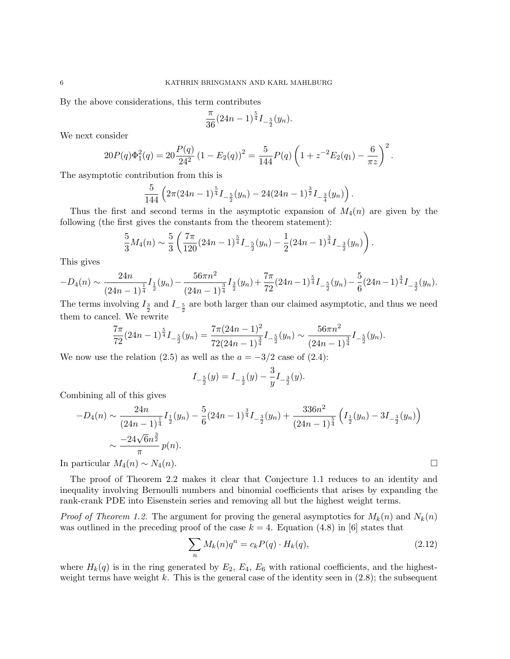By the above considerations, this term contributes

$$
\frac{\pi}{36}(24n-1)^{\frac{5}{4}}I_{-\frac{5}{2}}(y_n).
$$

We next consider

$$
20P(q)\Phi_1^2(q) = 20\frac{P(q)}{24^2} (1 - E_2(q))^2 = \frac{5}{144}P(q)\left(1 + z^{-2}E_2(q_1) - \frac{6}{\pi z}\right)^2.
$$

The asymptotic contribution from this is

$$
\frac{5}{144}\left(2\pi(24n-1)^{\frac{5}{4}}I_{-\frac{5}{2}}(y_n)-24(24n-1)^{\frac{3}{2}}I_{-\frac{3}{4}}(y_n)\right).
$$

Thus the first and second terms in the asymptotic expansion of  $M_4(n)$  are given by the following (the first gives the constants from the theorem statement):

$$
\frac{5}{3}M_4(n) \sim \frac{5}{3} \left( \frac{7\pi}{120} (24n-1)^{\frac{5}{4}} I_{-\frac{5}{2}}(y_n) - \frac{1}{2} (24n-1)^{\frac{3}{4}} I_{-\frac{3}{2}}(y_n) \right).
$$

This gives

$$
-D_4(n) \sim \frac{24n}{(24n-1)^{\frac{1}{4}}} I_{\frac{1}{2}}(y_n) - \frac{56\pi n^2}{(24n-1)^{\frac{3}{4}}} I_{\frac{3}{2}}(y_n) + \frac{7\pi}{72} (24n-1)^{\frac{5}{4}} I_{-\frac{5}{2}}(y_n) - \frac{5}{6} (24n-1)^{\frac{3}{4}} I_{-\frac{3}{2}}(y_n).
$$

The terms involving  $I_{\frac{3}{2}}$  and  $I_{-\frac{5}{2}}$  are both larger than our claimed asymptotic, and thus we need them to cancel. We rewrite

$$
\frac{7\pi}{72}(24n-1)^{\frac{5}{4}}I_{-\frac{5}{2}}(y_n)=\frac{7\pi(24n-1)^2}{72(24n-1)^{\frac{3}{4}}}I_{-\frac{5}{2}}(y_n)\sim \frac{56\pi n^2}{(24n-1)^{\frac{3}{4}}}I_{-\frac{5}{2}}(y_n).
$$

We now use the relation (2.5) as well as the  $a = -3/2$  case of (2.4):

$$
I_{-\frac{5}{2}}(y) = I_{-\frac{1}{2}}(y) - \frac{3}{y}I_{-\frac{3}{2}}(y).
$$

Combining all of this gives

$$
-D_4(n) \sim \frac{24n}{(24n-1)^{\frac{1}{4}}}\left[ \frac{1}{2}(y_n) - \frac{5}{6}(24n-1)^{\frac{3}{4}}\right] \left[ \frac{36n^2}{(24n-1)^{\frac{5}{4}}}\left( \frac{1}{2}(y_n) - 3I_{-\frac{3}{2}}(y_n) \right) \right]
$$

$$
\sim \frac{-24\sqrt{6}n^{\frac{3}{2}}}{\pi}p(n).
$$
  
In particular  $M_4(n) \sim N_4(n)$ .

The proof of Theorem 2.2 makes it clear that Conjecture 1.1 reduces to an identity and inequality involving Bernoulli numbers and binomial coefficients that arises by expanding the rank-crank PDE into Eisenstein series and removing all but the highest weight terms.

*Proof of Theorem 1.2.* The argument for proving the general asymptotics for  $M_k(n)$  and  $N_k(n)$ was outlined in the preceding proof of the case  $k = 4$ . Equation (4.8) in [6] states that

$$
\sum_{n} M_k(n)q^n = c_k P(q) \cdot H_k(q),\tag{2.12}
$$

where  $H_k(q)$  is in the ring generated by  $E_2, E_4, E_6$  with rational coefficients, and the highestweight terms have weight k. This is the general case of the identity seen in  $(2.8)$ ; the subsequent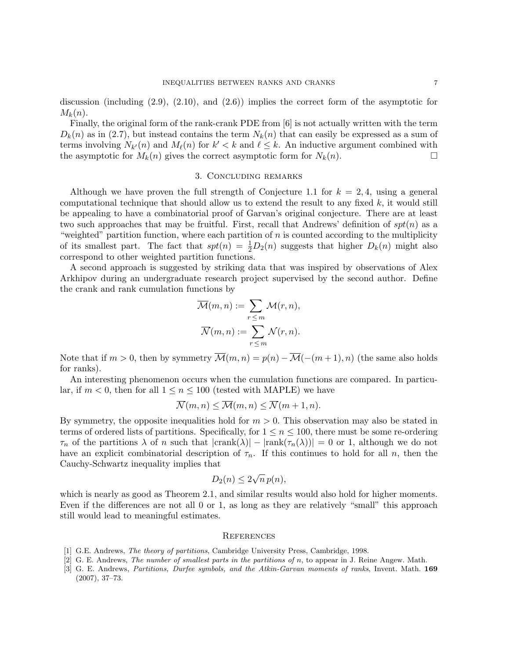discussion (including  $(2.9)$ ,  $(2.10)$ , and  $(2.6)$ ) implies the correct form of the asymptotic for  $M_k(n)$ .

Finally, the original form of the rank-crank PDE from [6] is not actually written with the term  $D_k(n)$  as in (2.7), but instead contains the term  $N_k(n)$  that can easily be expressed as a sum of terms involving  $N_{k'}(n)$  and  $M_{\ell}(n)$  for  $k' < k$  and  $\ell \leq k$ . An inductive argument combined with the asymptotic for  $M_k(n)$  gives the correct asymptotic form for  $N_k(n)$ .

### 3. Concluding remarks

Although we have proven the full strength of Conjecture 1.1 for  $k = 2, 4$ , using a general computational technique that should allow us to extend the result to any fixed  $k$ , it would still be appealing to have a combinatorial proof of Garvan's original conjecture. There are at least two such approaches that may be fruitful. First, recall that Andrews' definition of  $spt(n)$  as a "weighted" partition function, where each partition of  $n$  is counted according to the multiplicity of its smallest part. The fact that  $spt(n) = \frac{1}{2}D_2(n)$  suggests that higher  $D_k(n)$  might also correspond to other weighted partition functions.

A second approach is suggested by striking data that was inspired by observations of Alex Arkhipov during an undergraduate research project supervised by the second author. Define the crank and rank cumulation functions by

$$
\overline{\mathcal{M}}(m, n) := \sum_{r \leq m} \mathcal{M}(r, n),
$$

$$
\overline{\mathcal{N}}(m, n) := \sum_{r \leq m} \mathcal{N}(r, n).
$$

Note that if  $m > 0$ , then by symmetry  $\overline{\mathcal{M}}(m, n) = p(n) - \overline{\mathcal{M}}(-(m+1), n)$  (the same also holds for ranks).

An interesting phenomenon occurs when the cumulation functions are compared. In particular, if  $m < 0$ , then for all  $1 \le n \le 100$  (tested with MAPLE) we have

$$
\overline{\mathcal{N}}(m,n) \le \overline{\mathcal{M}}(m,n) \le \overline{\mathcal{N}}(m+1,n).
$$

By symmetry, the opposite inequalities hold for  $m > 0$ . This observation may also be stated in terms of ordered lists of partitions. Specifically, for  $1 \leq n \leq 100$ , there must be some re-ordering  $\tau_n$  of the partitions  $\lambda$  of n such that  $|crank(\lambda)| - |rank(\tau_n(\lambda))| = 0$  or 1, although we do not have an explicit combinatorial description of  $\tau_n$ . If this continues to hold for all n, then the Cauchy-Schwartz inequality implies that

$$
D_2(n) \le 2\sqrt{n} \, p(n),
$$

which is nearly as good as Theorem 2.1, and similar results would also hold for higher moments. Even if the differences are not all 0 or 1, as long as they are relatively "small" this approach still would lead to meaningful estimates.

### **REFERENCES**

- [1] G.E. Andrews, The theory of partitions, Cambridge University Press, Cambridge, 1998.
- [2] G. E. Andrews, *The number of smallest parts in the partitions of n*, to appear in J. Reine Angew. Math.
- [3] G. E. Andrews, Partitions, Durfee symbols, and the Atkin-Garvan moments of ranks, Invent. Math. 169 (2007), 37–73.